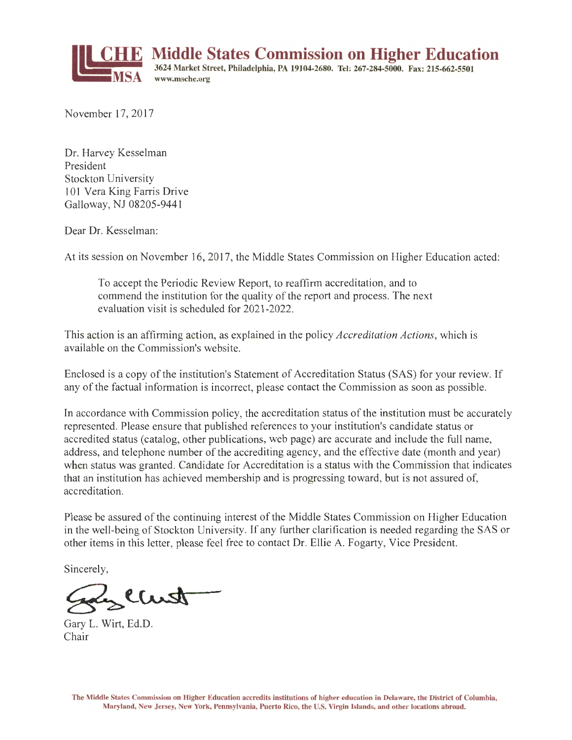

November 17, 2017

Dr. Harvey Kesselman President Stockton University 101 Vera King Farris Drive Galloway, NJ 08205-944 l

Dear Dr. Kesselman:

At its session on November 16, 2017, the Middle States Commission on Higher Education acted:

To accept the Periodic Review Report, to reaffirm accreditation, and to commend the institution for the quality of the report and process. The next evaluation visit is scheduled for 2021-2022.

This action is an affirming action, as explained in the policy *Accreditation Actions,* which is available on the Commission's website.

Enclosed is a copy of the institution's Statement of Accreditation Status (SAS) for your review. If any of the factual information is incorrect, please contact the Commission as soon as possible.

In accordance with Commission policy, the accreditation status of the institution must be accurately represented. Please ensure that published references to your institution's candidate status or accredited status (catalog, other publications, web page) are accurate and include the full name, address, and telephone number of the accrediting agency, and the effective date (month and year) when status was granted. Candidate for Accreditation is a status with the Commission that indicates that an institution has achieved membership and is progressing toward, but is not assured of, accreditation.

Please be assured of the continuing interest of the Middle States Commission on Higher Education in the well-being of Stockton University. If any further clarification is needed regarding the SAS or other items in this letter, please feel free to contact Dr. Ellie A. Fogarty, Vice President.

Sincerely,

<u>in</u> Clust

Gary L. Wirt, Ed.D. Chair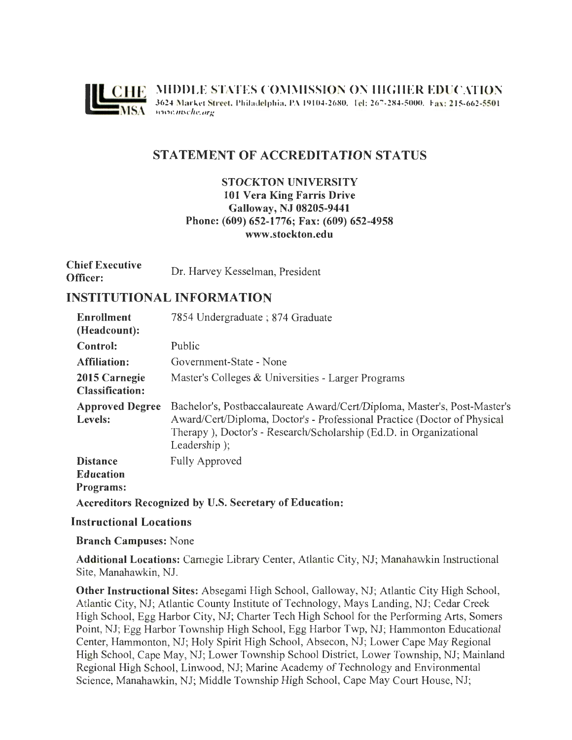

# **STATEMENT OF ACCREDITATION STATUS**

## **STOCKTON UNIVERSITY 101 Vera King Farris Drive Galloway, NJ 08205-9441 Phone: (609) 652-1776; Fax: (609) 652-4958 www .stockton.edu**

| <b>Chief Executive</b> | Dr. Harvey Kesselman, President |
|------------------------|---------------------------------|
| Officer:               |                                 |

## **INSTITUTIONAL INFORMATION**

| Enrollment<br>(Headcount):                                    | 7854 Undergraduate; 874 Graduate                                                                                                                                                                                                            |  |
|---------------------------------------------------------------|---------------------------------------------------------------------------------------------------------------------------------------------------------------------------------------------------------------------------------------------|--|
| Control:                                                      | Public                                                                                                                                                                                                                                      |  |
| Affiliation:                                                  | Government-State - None                                                                                                                                                                                                                     |  |
| 2015 Carnegie<br><b>Classification:</b>                       | Master's Colleges & Universities - Larger Programs                                                                                                                                                                                          |  |
| <b>Approved Degree</b><br>Levels:                             | Bachelor's, Postbaccalaureate Award/Cert/Diploma, Master's, Post-Master's<br>Award/Cert/Diploma, Doctor's - Professional Practice (Doctor of Physical<br>Therapy), Doctor's - Research/Scholarship (Ed.D. in Organizational<br>Leadership); |  |
| <b>Distance</b><br><b>Education</b><br>Programs:              | <b>Fully Approved</b>                                                                                                                                                                                                                       |  |
| <b>Accreditors Recognized by U.S. Secretary of Education:</b> |                                                                                                                                                                                                                                             |  |

#### **Instructional Locations**

#### **Branch Campuses:** None

**Additional Locations:** Carnegie Library Center, Atlantic City, NJ; Manahawkin Instructional Site, Manahawkin, NJ.

**Other Instructional Sites:** Absegami High School, Galloway, NJ; Atlantic City High School, Atlantic City, NJ; Atlantic County Institute of Technology, Mays Landing, NJ; Cedar Creek High School, Egg Harbor City, NJ; Charter Tech High School for the Performing Arts, Somers Point, NJ; Egg Harbor Township High School, Egg Harbor Twp, NJ; Hammonton Educational Center, Hammonton, NJ; Holy Spirit High School, Absecon, NJ; Lower Cape May Regional High School, Cape May, NJ; Lower Township School District, Lower Township, NJ; Mainland Regional High School, Linwood, NJ; Marine Academy of Technology and Environmental Science, Manahawkin, NJ; Middle Township High School, Cape May Court House, NJ;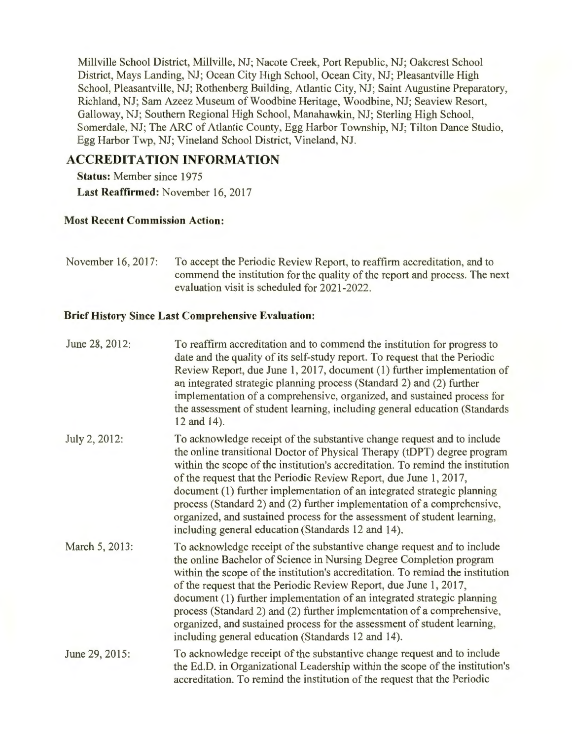Millville School District, Millville, NJ; Nacote Creek, Port Republic, NJ; Oakcrest School District, Mays Landing, NJ; Ocean City High School, Ocean City, NJ; Pleasantville High School, Pleasantville, NJ; Rothenberg Building, Atlantic City, NJ; Saint Augustine Preparatory, Richland, NJ; Sam Azeez Museum of Woodbine Heritage, Woodbine, NJ; Seaview Resort, Galloway, NJ; Southern Regional High School, Manahawkin, NJ; Sterling High School, Somerdale, NJ; The ARC of Atlantic County, Egg Harbor Township, NJ; Tilton Dance Studio, Egg Harbor Twp, NJ; Vineland School District, Vineland, NJ.

# **ACCREDITATION INFORMATION**

**Status:** Member since 1975 **Last Reaffirmed:** November 16, 2017

### **Most Recent Commission Action:**

November 16, 2017: To accept the Periodic Review Report, to reaffirm accreditation, and to commend the institution for the quality of the report and process. The next evaluation visit is scheduled for 2021-2022.

### **Brief History Since Last Comprehensive Evaluation:**

| June 28, 2012: | To reaffirm accreditation and to commend the institution for progress to<br>date and the quality of its self-study report. To request that the Periodic<br>Review Report, due June 1, 2017, document (1) further implementation of<br>an integrated strategic planning process (Standard 2) and (2) further<br>implementation of a comprehensive, organized, and sustained process for<br>the assessment of student learning, including general education (Standards)<br>12 and 14).                                                                                                               |
|----------------|----------------------------------------------------------------------------------------------------------------------------------------------------------------------------------------------------------------------------------------------------------------------------------------------------------------------------------------------------------------------------------------------------------------------------------------------------------------------------------------------------------------------------------------------------------------------------------------------------|
| July 2, 2012:  | To acknowledge receipt of the substantive change request and to include<br>the online transitional Doctor of Physical Therapy (tDPT) degree program<br>within the scope of the institution's accreditation. To remind the institution<br>of the request that the Periodic Review Report, due June 1, 2017,<br>document (1) further implementation of an integrated strategic planning<br>process (Standard 2) and (2) further implementation of a comprehensive,<br>organized, and sustained process for the assessment of student learning,<br>including general education (Standards 12 and 14). |
| March 5, 2013: | To acknowledge receipt of the substantive change request and to include<br>the online Bachelor of Science in Nursing Degree Completion program<br>within the scope of the institution's accreditation. To remind the institution<br>of the request that the Periodic Review Report, due June 1, 2017,<br>document (1) further implementation of an integrated strategic planning<br>process (Standard 2) and (2) further implementation of a comprehensive,<br>organized, and sustained process for the assessment of student learning,<br>including general education (Standards 12 and 14).      |
| June 29, 2015: | To acknowledge receipt of the substantive change request and to include<br>the Ed.D. in Organizational Leadership within the scope of the institution's<br>accreditation. To remind the institution of the request that the Periodic                                                                                                                                                                                                                                                                                                                                                               |